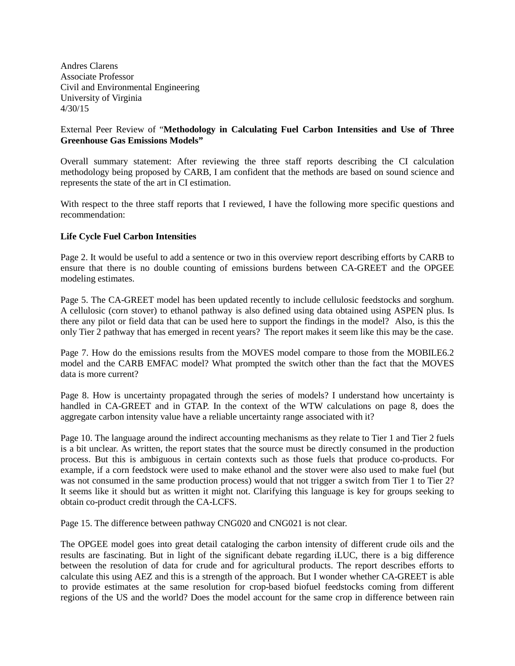Andres Clarens Associate Professor Civil and Environmental Engineering University of Virginia 4/30/15

## External Peer Review of "**Methodology in Calculating Fuel Carbon Intensities and Use of Three Greenhouse Gas Emissions Models"**

Overall summary statement: After reviewing the three staff reports describing the CI calculation methodology being proposed by CARB, I am confident that the methods are based on sound science and represents the state of the art in CI estimation.

With respect to the three staff reports that I reviewed, I have the following more specific questions and recommendation:

## **Life Cycle Fuel Carbon Intensities**

Page 2. It would be useful to add a sentence or two in this overview report describing efforts by CARB to ensure that there is no double counting of emissions burdens between CA-GREET and the OPGEE modeling estimates.

Page 5. The CA-GREET model has been updated recently to include cellulosic feedstocks and sorghum. A cellulosic (corn stover) to ethanol pathway is also defined using data obtained using ASPEN plus. Is there any pilot or field data that can be used here to support the findings in the model? Also, is this the only Tier 2 pathway that has emerged in recent years? The report makes it seem like this may be the case.

Page 7. How do the emissions results from the MOVES model compare to those from the MOBILE6.2 model and the CARB EMFAC model? What prompted the switch other than the fact that the MOVES data is more current?

Page 8. How is uncertainty propagated through the series of models? I understand how uncertainty is handled in CA-GREET and in GTAP. In the context of the WTW calculations on page 8, does the aggregate carbon intensity value have a reliable uncertainty range associated with it?

Page 10. The language around the indirect accounting mechanisms as they relate to Tier 1 and Tier 2 fuels is a bit unclear. As written, the report states that the source must be directly consumed in the production process. But this is ambiguous in certain contexts such as those fuels that produce co-products. For example, if a corn feedstock were used to make ethanol and the stover were also used to make fuel (but was not consumed in the same production process) would that not trigger a switch from Tier 1 to Tier 2? It seems like it should but as written it might not. Clarifying this language is key for groups seeking to obtain co-product credit through the CA-LCFS.

Page 15. The difference between pathway CNG020 and CNG021 is not clear.

The OPGEE model goes into great detail cataloging the carbon intensity of different crude oils and the results are fascinating. But in light of the significant debate regarding iLUC, there is a big difference between the resolution of data for crude and for agricultural products. The report describes efforts to calculate this using AEZ and this is a strength of the approach. But I wonder whether CA-GREET is able to provide estimates at the same resolution for crop-based biofuel feedstocks coming from different regions of the US and the world? Does the model account for the same crop in difference between rain